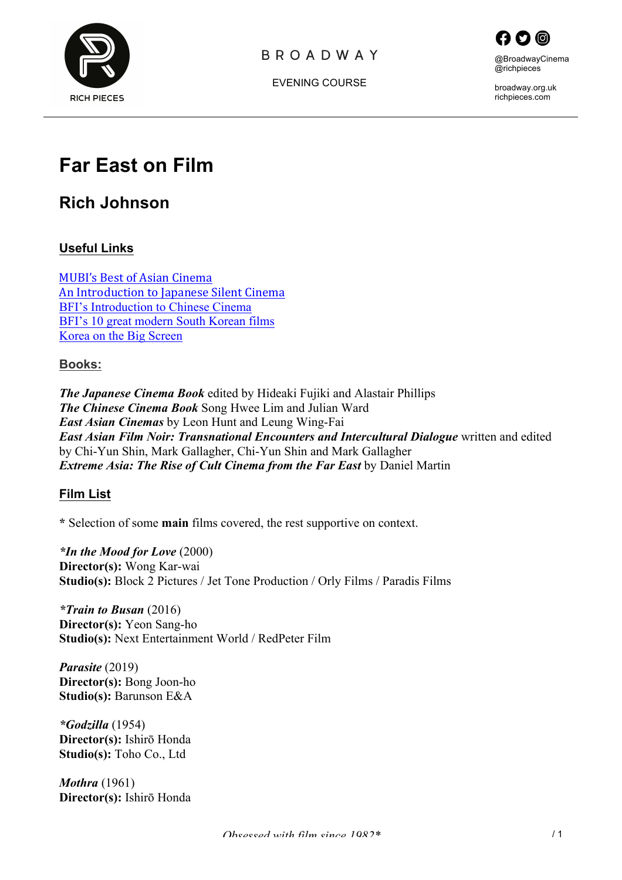





broadway.org.uk richpieces.com

# **Far East on Film**

# **Rich Johnson**

#### **Useful Links**

**MUBI's Best of Asian Cinema** An Introduction to Japanese Silent Cinema BFI's Introduction to Chinese Cinema BFI's 10 great modern South Korean films Korea on the Big Screen

#### **Books:**

*The Japanese Cinema Book* edited by Hideaki Fujiki and Alastair Phillips *The Chinese Cinema Book* Song Hwee Lim and Julian Ward *East Asian Cinemas* by Leon Hunt and Leung Wing-Fai *East Asian Film Noir: Transnational Encounters and Intercultural Dialogue* written and edited by Chi-Yun Shin, Mark Gallagher, Chi-Yun Shin and Mark Gallagher *Extreme Asia: The Rise of Cult Cinema from the Far East* by Daniel Martin

#### **Film List**

**\*** Selection of some **main** films covered, the rest supportive on context.

*\*In the Mood for Love* (2000) **Director(s):** Wong Kar-wai **Studio(s):** Block 2 Pictures / Jet Tone Production / Orly Films / Paradis Films

*\*Train to Busan* (2016) **Director(s):** Yeon Sang-ho **Studio(s):** Next Entertainment World / RedPeter Film

*Parasite* (2019) **Director(s):** Bong Joon-ho **Studio(s):** Barunson E&A

*\*Godzilla* (1954) **Director(s):** Ishirō Honda **Studio(s):** Toho Co., Ltd

*Mothra* (1961) **Director(s):** Ishirō Honda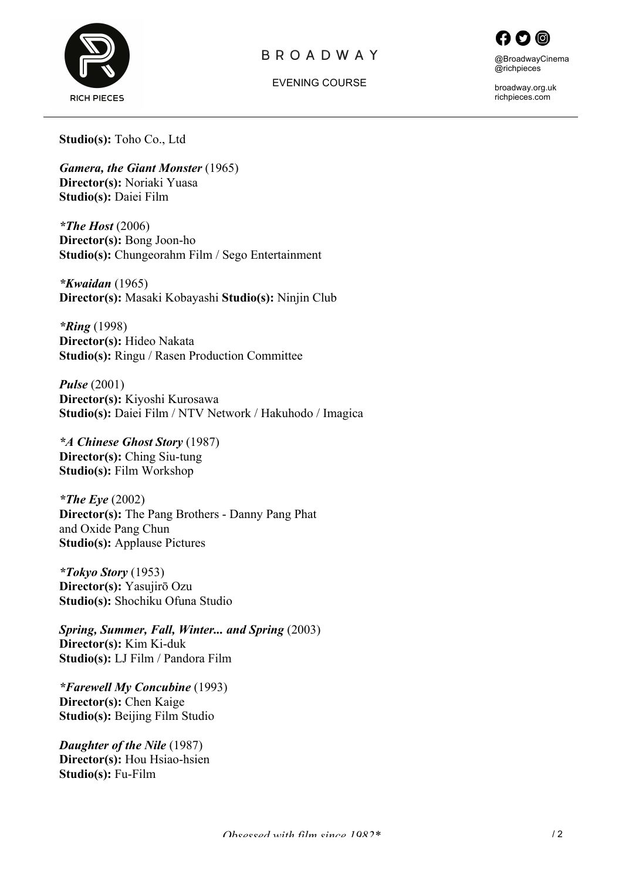



EVENING COURSE

broadway.org.uk richpieces.com

**Studio(s):** Toho Co., Ltd

*Gamera, the Giant Monster* (1965) **Director(s):** Noriaki Yuasa **Studio(s):** Daiei Film

*\*The Host* (2006) **Director(s):** Bong Joon-ho **Studio(s):** Chungeorahm Film / Sego Entertainment

*\*Kwaidan* (1965) **Director(s):** Masaki Kobayashi **Studio(s):** Ninjin Club

*\*Ring* (1998) **Director(s):** Hideo Nakata **Studio(s):** Ringu / Rasen Production Committee

*Pulse* (2001) **Director(s):** Kiyoshi Kurosawa **Studio(s):** Daiei Film / NTV Network / Hakuhodo / Imagica

*\*A Chinese Ghost Story* (1987) **Director(s):** Ching Siu-tung **Studio(s):** Film Workshop

*\*The Eye* (2002) **Director(s):** The Pang Brothers - Danny Pang Phat and Oxide Pang Chun **Studio(s):** Applause Pictures

*\*Tokyo Story* (1953) **Director(s):** Yasujirō Ozu **Studio(s):** Shochiku Ofuna Studio

*Spring, Summer, Fall, Winter... and Spring* (2003) **Director(s):** Kim Ki-duk **Studio(s):** LJ Film / Pandora Film

*\*Farewell My Concubine* (1993) **Director(s):** Chen Kaige **Studio(s):** Beijing Film Studio

*Daughter of the Nile* (1987) **Director(s):** Hou Hsiao-hsien **Studio(s):** Fu-Film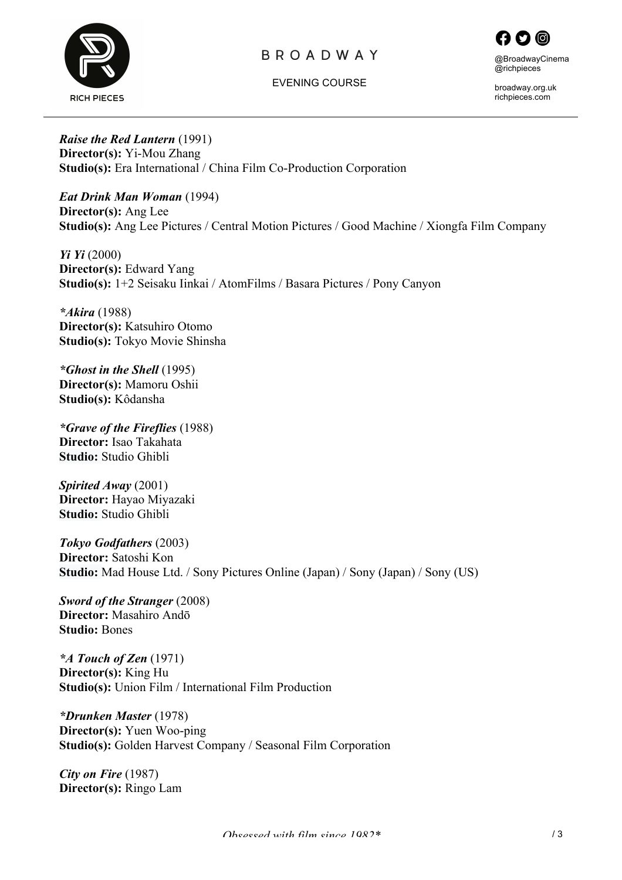

EVENING COURSE



broadway.org.uk richpieces.com

*Raise the Red Lantern* (1991) **Director(s):** Yi-Mou Zhang **Studio(s):** Era International / China Film Co-Production Corporation

*Eat Drink Man Woman* (1994) **Director(s):** Ang Lee **Studio(s):** Ang Lee Pictures / Central Motion Pictures / Good Machine / Xiongfa Film Company

*Yi Yi* (2000) **Director(s):** Edward Yang **Studio(s):** 1+2 Seisaku Iinkai / AtomFilms / Basara Pictures / Pony Canyon

*\*Akira* (1988) **Director(s):** Katsuhiro Otomo **Studio(s):** Tokyo Movie Shinsha

*\*Ghost in the Shell* (1995) **Director(s):** Mamoru Oshii **Studio(s):** Kôdansha

*\*Grave of the Fireflies* (1988) **Director:** Isao Takahata **Studio:** Studio Ghibli

*Spirited Away* (2001) **Director:** Hayao Miyazaki **Studio:** Studio Ghibli

*Tokyo Godfathers* (2003) **Director:** Satoshi Kon **Studio:** Mad House Ltd. / Sony Pictures Online (Japan) / Sony (Japan) / Sony (US)

*Sword of the Stranger* (2008) **Director:** Masahiro Andō **Studio:** Bones

*\*A Touch of Zen* (1971) **Director(s):** King Hu **Studio(s):** Union Film / International Film Production

*\*Drunken Master* (1978) **Director(s):** Yuen Woo-ping **Studio(s):** Golden Harvest Company / Seasonal Film Corporation

*City on Fire* (1987) **Director(s):** Ringo Lam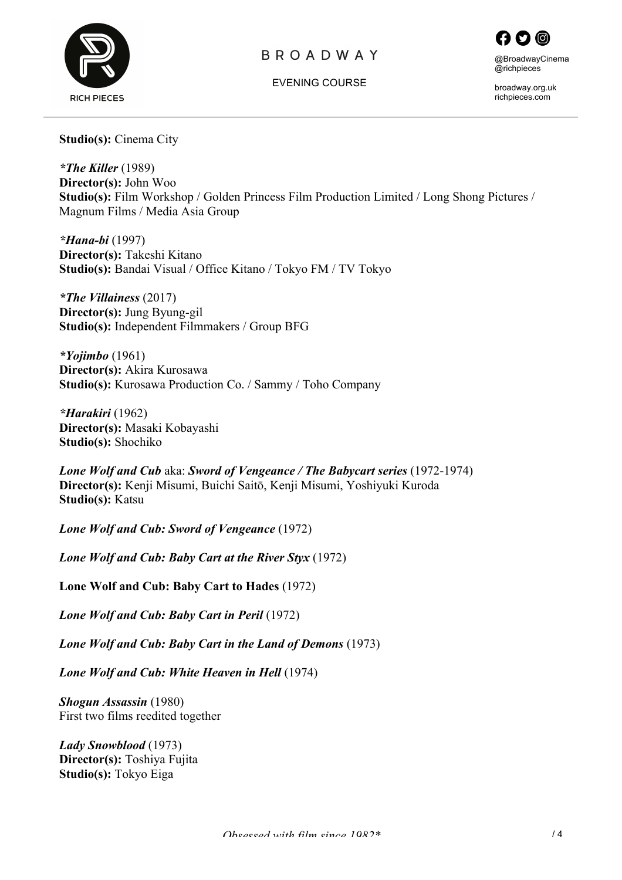



EVENING COURSE

broadway.org.uk richpieces.com

**Studio(s):** Cinema City

*\*The Killer* (1989) **Director(s):** John Woo **Studio(s):** Film Workshop / Golden Princess Film Production Limited / Long Shong Pictures / Magnum Films / Media Asia Group

*\*Hana-bi* (1997) **Director(s):** Takeshi Kitano **Studio(s):** Bandai Visual / Office Kitano / Tokyo FM / TV Tokyo

*\*The Villainess* (2017) **Director(s):** Jung Byung-gil **Studio(s):** Independent Filmmakers / Group BFG

*\*Yojimbo* (1961) **Director(s):** Akira Kurosawa **Studio(s):** Kurosawa Production Co. / Sammy / Toho Company

*\*Harakiri* (1962) **Director(s):** Masaki Kobayashi **Studio(s):** Shochiko

*Lone Wolf and Cub* aka: *Sword of Vengeance / The Babycart series* (1972-1974) **Director(s):** Kenji Misumi, Buichi Saitō, Kenji Misumi, Yoshiyuki Kuroda **Studio(s):** Katsu

*Lone Wolf and Cub: Sword of Vengeance* (1972)

*Lone Wolf and Cub: Baby Cart at the River Styx* (1972)

**Lone Wolf and Cub: Baby Cart to Hades** (1972)

*Lone Wolf and Cub: Baby Cart in Peril* (1972)

*Lone Wolf and Cub: Baby Cart in the Land of Demons* (1973)

*Lone Wolf and Cub: White Heaven in Hell* (1974)

*Shogun Assassin* (1980) First two films reedited together

*Lady Snowblood* (1973) **Director(s):** Toshiya Fujita **Studio(s):** Tokyo Eiga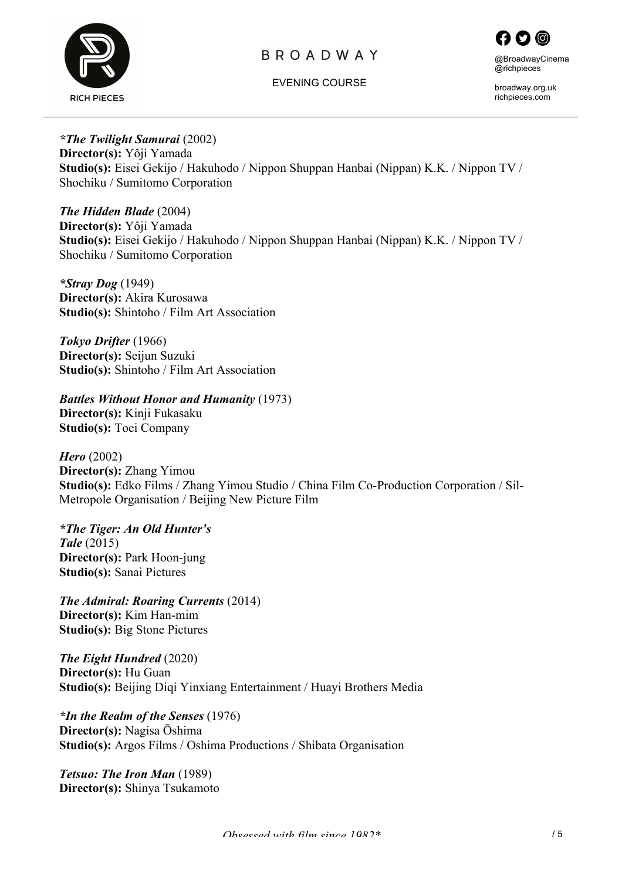



EVENING COURSE

broadway.org.uk richpieces.com

*\*The Twilight Samurai* (2002) **Director(s):** Yôji Yamada **Studio(s):** Eisei Gekijo / Hakuhodo / Nippon Shuppan Hanbai (Nippan) K.K. / Nippon TV / Shochiku / Sumitomo Corporation

*The Hidden Blade* (2004) **Director(s):** Yôji Yamada **Studio(s):** Eisei Gekijo / Hakuhodo / Nippon Shuppan Hanbai (Nippan) K.K. / Nippon TV / Shochiku / Sumitomo Corporation

*\*Stray Dog* (1949) **Director(s):** Akira Kurosawa **Studio(s):** Shintoho / Film Art Association

*Tokyo Drifter* (1966) **Director(s):** Seijun Suzuki **Studio(s):** Shintoho / Film Art Association

*Battles Without Honor and Humanity* (1973)

**Director(s):** Kinji Fukasaku **Studio(s):** Toei Company

*Hero* (2002) **Director(s):** Zhang Yimou **Studio(s):** Edko Films / Zhang Yimou Studio / China Film Co-Production Corporation / Sil-Metropole Organisation / Beijing New Picture Film

*\*The Tiger: An Old Hunter's Tale* (2015) **Director(s):** Park Hoon-jung **Studio(s):** Sanai Pictures

*The Admiral: Roaring Currents* (2014) **Director(s):** Kim Han-mim **Studio(s):** Big Stone Pictures

*The Eight Hundred* (2020) **Director(s):** Hu Guan **Studio(s):** Beijing Diqi Yinxiang Entertainment / Huayi Brothers Media

*\*In the Realm of the Senses* (1976) **Director(s):** Nagisa Ōshima **Studio(s):** Argos Films / Oshima Productions / Shibata Organisation

*Tetsuo: The Iron Man* (1989) **Director(s):** Shinya Tsukamoto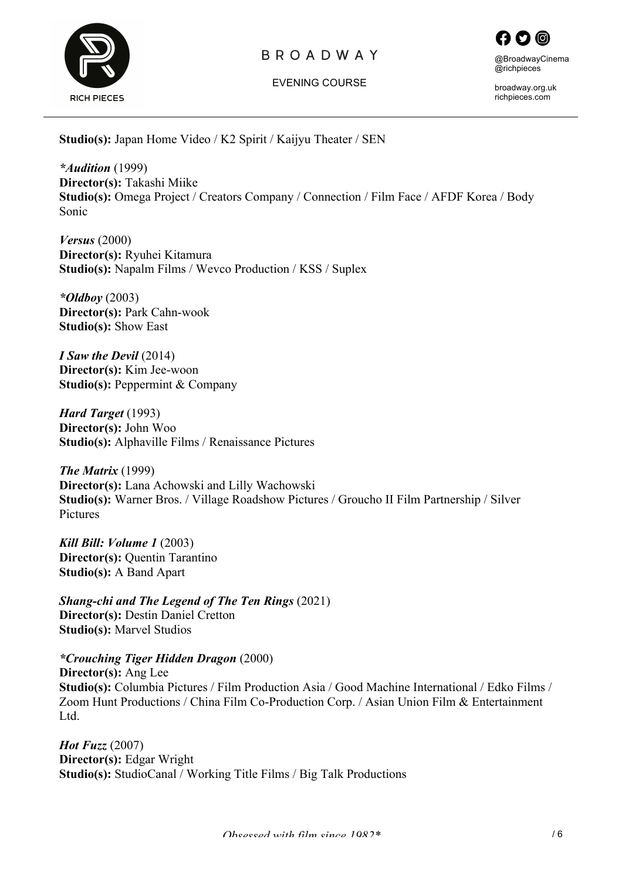

EVENING COURSE



broadway.org.uk richpieces.com

**Studio(s):** Japan Home Video / K2 Spirit / Kaijyu Theater / SEN

*\*Audition* (1999) **Director(s):** Takashi Miike **Studio(s):** Omega Project / Creators Company / Connection / Film Face / AFDF Korea / Body Sonic

*Versus* (2000) **Director(s):** Ryuhei Kitamura **Studio(s):** Napalm Films / Wevco Production / KSS / Suplex

*\*Oldboy* (2003) **Director(s):** Park Cahn-wook **Studio(s):** Show East

*I Saw the Devil* (2014) **Director(s):** Kim Jee-woon **Studio(s):** Peppermint & Company

*Hard Target* (1993) **Director(s):** John Woo **Studio(s):** Alphaville Films / Renaissance Pictures

*The Matrix* (1999) **Director(s):** Lana Achowski and Lilly Wachowski **Studio(s):** Warner Bros. / Village Roadshow Pictures / Groucho II Film Partnership / Silver Pictures

*Kill Bill: Volume 1* (2003) **Director(s):** Quentin Tarantino **Studio(s):** A Band Apart

*Shang-chi and The Legend of The Ten Rings* (2021) **Director(s):** Destin Daniel Cretton **Studio(s):** Marvel Studios

*\*Crouching Tiger Hidden Dragon* (2000) **Director(s):** Ang Lee **Studio(s):** Columbia Pictures / Film Production Asia / Good Machine International / Edko Films / Zoom Hunt Productions / China Film Co-Production Corp. / Asian Union Film & Entertainment L<sub>td</sub>

*Hot Fuzz* (2007) **Director(s):** Edgar Wright **Studio(s):** StudioCanal / Working Title Films / Big Talk Productions